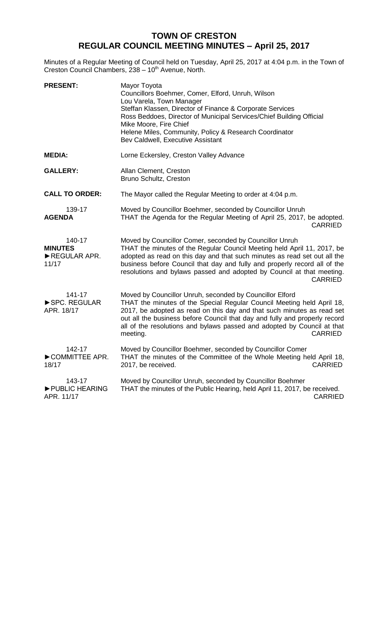## **TOWN OF CRESTON REGULAR COUNCIL MEETING MINUTES – April 25, 2017**

Minutes of a Regular Meeting of Council held on Tuesday, April 25, 2017 at 4:04 p.m. in the Town of Creston Council Chambers, 238 - 10<sup>th</sup> Avenue, North.

| <b>PRESENT:</b>                                   | Mayor Toyota<br>Councillors Boehmer, Comer, Elford, Unruh, Wilson<br>Lou Varela, Town Manager<br>Steffan Klassen, Director of Finance & Corporate Services<br>Ross Beddoes, Director of Municipal Services/Chief Building Official<br>Mike Moore, Fire Chief<br>Helene Miles, Community, Policy & Research Coordinator<br>Bev Caldwell, Executive Assistant                                         |  |
|---------------------------------------------------|-----------------------------------------------------------------------------------------------------------------------------------------------------------------------------------------------------------------------------------------------------------------------------------------------------------------------------------------------------------------------------------------------------|--|
| <b>MEDIA:</b>                                     | Lorne Eckersley, Creston Valley Advance                                                                                                                                                                                                                                                                                                                                                             |  |
| <b>GALLERY:</b>                                   | Allan Clement, Creston<br>Bruno Schultz, Creston                                                                                                                                                                                                                                                                                                                                                    |  |
| <b>CALL TO ORDER:</b>                             | The Mayor called the Regular Meeting to order at 4:04 p.m.                                                                                                                                                                                                                                                                                                                                          |  |
| 139-17<br><b>AGENDA</b>                           | Moved by Councillor Boehmer, seconded by Councillor Unruh<br>THAT the Agenda for the Regular Meeting of April 25, 2017, be adopted.<br><b>CARRIED</b>                                                                                                                                                                                                                                               |  |
| 140-17<br><b>MINUTES</b><br>REGULAR APR.<br>11/17 | Moved by Councillor Comer, seconded by Councillor Unruh<br>THAT the minutes of the Regular Council Meeting held April 11, 2017, be<br>adopted as read on this day and that such minutes as read set out all the<br>business before Council that day and fully and properly record all of the<br>resolutions and bylaws passed and adopted by Council at that meeting.<br><b>CARRIED</b>             |  |
| 141-17<br>SPC. REGULAR<br>APR. 18/17              | Moved by Councillor Unruh, seconded by Councillor Elford<br>THAT the minutes of the Special Regular Council Meeting held April 18,<br>2017, be adopted as read on this day and that such minutes as read set<br>out all the business before Council that day and fully and properly record<br>all of the resolutions and bylaws passed and adopted by Council at that<br>meeting.<br><b>CARRIED</b> |  |
| 142-17<br>COMMITTEE APR.<br>18/17                 | Moved by Councillor Boehmer, seconded by Councillor Comer<br>THAT the minutes of the Committee of the Whole Meeting held April 18,<br><b>CARRIED</b><br>2017, be received.                                                                                                                                                                                                                          |  |
| 143-17<br>PUBLIC HEARING<br>APR. 11/17            | Moved by Councillor Unruh, seconded by Councillor Boehmer<br>THAT the minutes of the Public Hearing, held April 11, 2017, be received.<br><b>CARRIED</b>                                                                                                                                                                                                                                            |  |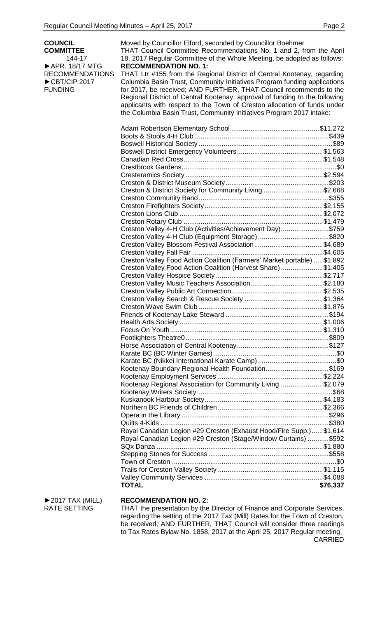| <b>COUNCIL</b>                                                                         | Moved by Councillor Elford, seconded by Councillor Boehmer                                                                                     |          |  |
|----------------------------------------------------------------------------------------|------------------------------------------------------------------------------------------------------------------------------------------------|----------|--|
| THAT Council Committee Recommendations No. 1 and 2, from the April<br><b>COMMITTEE</b> |                                                                                                                                                |          |  |
| 144-17<br>APR. 18/17 MTG                                                               | 18, 2017 Regular Committee of the Whole Meeting, be adopted as follows:<br><b>RECOMMENDATION NO. 1:</b>                                        |          |  |
| <b>RECOMMENDATIONS</b>                                                                 | THAT Ltr #155 from the Regional District of Central Kootenay, regarding                                                                        |          |  |
| CBT/CIP 2017<br><b>FUNDING</b>                                                         | Columbia Basin Trust, Community Initiatives Program funding applications<br>for 2017, be received; AND FURTHER, THAT Council recommends to the |          |  |
|                                                                                        | Regional District of Central Kootenay, approval of funding to the following                                                                    |          |  |
|                                                                                        | applicants with respect to the Town of Creston allocation of funds under                                                                       |          |  |
|                                                                                        | the Columbia Basin Trust, Community Initiatives Program 2017 intake:                                                                           |          |  |
|                                                                                        |                                                                                                                                                |          |  |
|                                                                                        |                                                                                                                                                |          |  |
|                                                                                        |                                                                                                                                                |          |  |
|                                                                                        |                                                                                                                                                |          |  |
|                                                                                        |                                                                                                                                                |          |  |
|                                                                                        |                                                                                                                                                |          |  |
|                                                                                        | Creston & District Society for Community Living \$2,668                                                                                        |          |  |
|                                                                                        |                                                                                                                                                |          |  |
|                                                                                        |                                                                                                                                                |          |  |
|                                                                                        |                                                                                                                                                |          |  |
|                                                                                        |                                                                                                                                                |          |  |
|                                                                                        | Creston Valley 4-H Club (Activities/Achievement Day)\$759                                                                                      |          |  |
|                                                                                        | Creston Valley 4-H Club (Equipment Storage) \$820<br>Creston Valley Blossom Festival Association\$4,689                                        |          |  |
|                                                                                        |                                                                                                                                                |          |  |
|                                                                                        | Creston Valley Food Action Coalition (Farmers' Market portable)  \$1,892                                                                       |          |  |
|                                                                                        | Creston Valley Food Action Coalition (Harvest Share) \$1,405                                                                                   |          |  |
|                                                                                        |                                                                                                                                                |          |  |
|                                                                                        |                                                                                                                                                |          |  |
|                                                                                        |                                                                                                                                                |          |  |
|                                                                                        |                                                                                                                                                |          |  |
|                                                                                        |                                                                                                                                                |          |  |
|                                                                                        |                                                                                                                                                |          |  |
|                                                                                        |                                                                                                                                                |          |  |
|                                                                                        |                                                                                                                                                |          |  |
|                                                                                        |                                                                                                                                                |          |  |
|                                                                                        |                                                                                                                                                |          |  |
|                                                                                        | Kootenay Boundary Regional Health Foundation\$169                                                                                              |          |  |
|                                                                                        |                                                                                                                                                |          |  |
|                                                                                        | Kootenay Regional Association for Community Living \$2,079                                                                                     |          |  |
|                                                                                        |                                                                                                                                                |          |  |
|                                                                                        |                                                                                                                                                |          |  |
|                                                                                        |                                                                                                                                                |          |  |
|                                                                                        |                                                                                                                                                |          |  |
|                                                                                        | Royal Canadian Legion #29 Creston (Exhaust Hood/Fire Supp.) \$1,614                                                                            |          |  |
|                                                                                        | Royal Canadian Legion #29 Creston (Stage/Window Curtains)  \$592                                                                               |          |  |
|                                                                                        |                                                                                                                                                |          |  |
|                                                                                        |                                                                                                                                                |          |  |
|                                                                                        |                                                                                                                                                |          |  |
|                                                                                        |                                                                                                                                                |          |  |
|                                                                                        | <b>TOTAL</b>                                                                                                                                   | \$76,337 |  |
| $\blacktriangleright$ 2017 TAX (MILL)<br><b>RATE SETTING</b>                           | <b>RECOMMENDATION NO. 2:</b><br>THAT the presentation by the Director of Finance and Corporate Services,                                       |          |  |

THAT the presentation by the Director of Finance and Corporate Services, regarding the setting of the 2017 Tax (Mill) Rates for the Town of Creston, be received; AND FURTHER, THAT Council will consider three readings to Tax Rates Bylaw No. 1858, 2017 at the April 25, 2017 Regular meeting. CARRIED